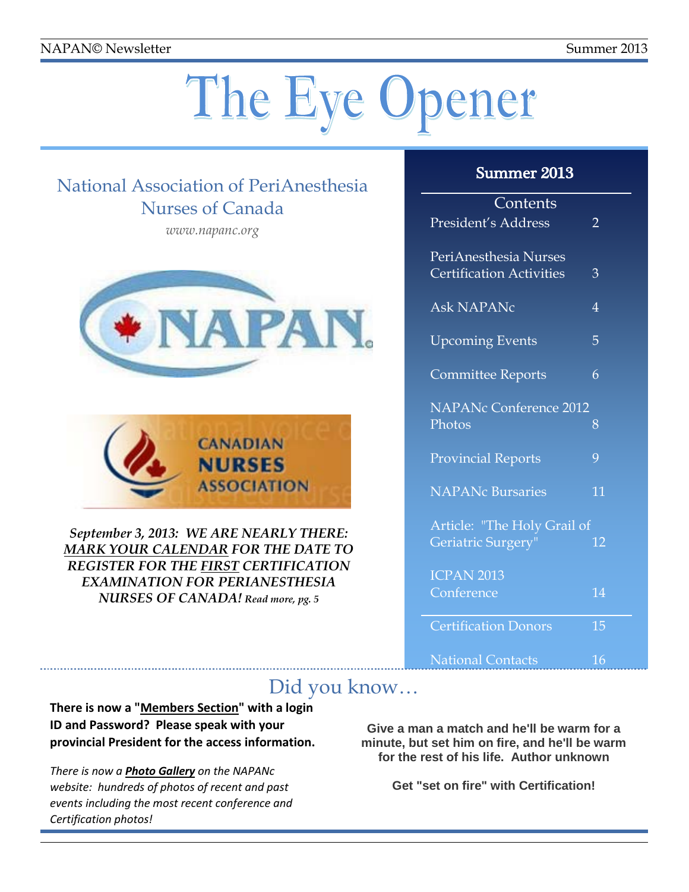#### NAPAN© Newsletter Summer 2013

# The Eye Opener

## National Association of PeriAnesthesia Nurses of Canada

*www.napanc.org*





*September 3, 2013: WE ARE NEARLY THERE: MARK YOUR CALENDAR FOR THE DATE TO REGISTER FOR THE FIRST CERTIFICATION EXAMINATION FOR PERIANESTHESIA NURSES OF CANADA! Read more, pg. 5*

## Summer 2013

| Contents                        |                |  |
|---------------------------------|----------------|--|
| President's Address             | $\overline{2}$ |  |
| PeriAnesthesia Nurses           |                |  |
| <b>Certification Activities</b> | 3              |  |
| <b>Ask NAPANc</b>               | $\overline{4}$ |  |
| <b>Upcoming Events</b>          | 5              |  |
| <b>Committee Reports</b>        | 6              |  |
| <b>NAPANc Conference 2012</b>   |                |  |
| Photos                          | 8              |  |
| <b>Provincial Reports</b>       | 9              |  |
| <b>NAPANc Bursaries</b>         | 11             |  |
| Article: "The Holy Grail of     |                |  |
| Geriatric Surgery"              | 12             |  |
| <b>ICPAN 2013</b>               |                |  |
| Conference                      | 14             |  |
| <b>Certification Donors</b>     | 15             |  |
|                                 |                |  |

National Contacts 16

# Did you know…

**There is now a "Members Section" with a login ID and Password? Please speak with your provincial President for the access information.**

*There is now a Photo Gallery on the NAPANc website: hundreds of photos of recent and past events including the most recent conference and Certification photos!*

**Give a man a match and he'll be warm for a minute, but set him on fire, and he'll be warm for the rest of his life. Author unknown**

**Get "set on fire" with Certification!**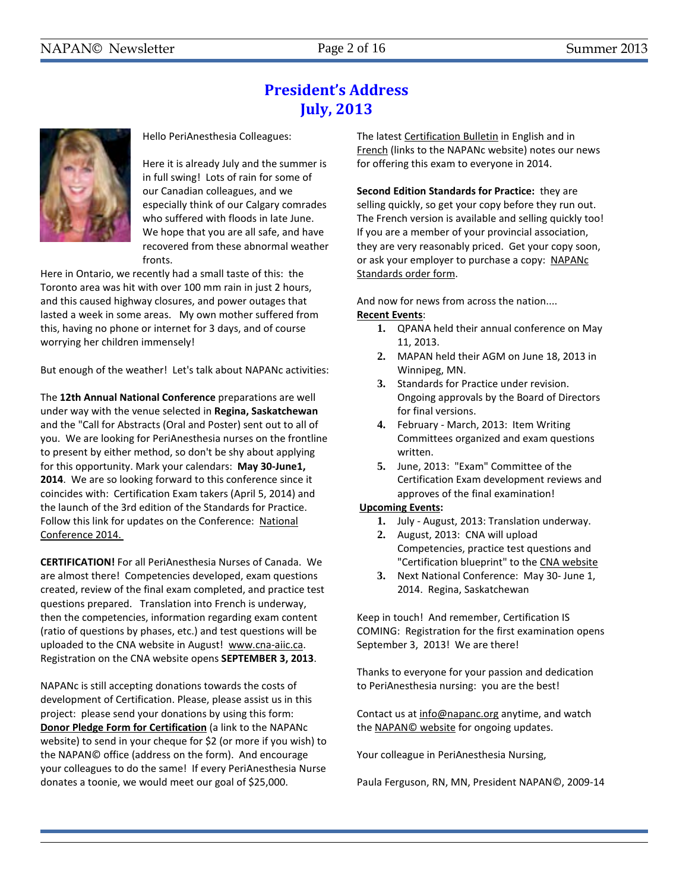## **President's Address July, 2013**



Hello PeriAnesthesia Colleagues:

Here it is already July and the summer is in full swing! Lots of rain for some of our Canadian colleagues, and we especially think of our Calgary comrades who suffered with floods in late June. We hope that you are all safe, and have recovered from these abnormal weather fronts.

Here in Ontario, we recently had a small taste of this: the Toronto area was hit with over 100 mm rain in just 2 hours, and this caused highway closures, and power outages that lasted a week in some areas. My own mother suffered from this, having no phone or internet for 3 days, and of course worrying her children immensely!

But enough of the weather! Let's talk about NAPANc activities:

The **12th Annual National Conference** preparations are well under way with the venue selected in **Regina, Saskatchewan** and the "Call for Abstracts (Oral and Poster) sent out to all of you. We are looking for PeriAnesthesia nurses on the frontline to present by either method, so don't be shy about applying for this opportunity. Mark your calendars: **May 30-June1, 2014**. We are so looking forward to this conference since it coincides with: Certification Exam takers (April 5, 2014) and the launch of the 3rd edition of the Standards for Practice. Follow this link for updates on the Conference: National [Conference 2014.](http://www.napanc.org/conference/2014-national-conference) 

**CERTIFICATION!** For all PeriAnesthesia Nurses of Canada. We are almost there! Competencies developed, exam questions created, review of the final exam completed, and practice test questions prepared. Translation into French is underway, then the competencies, information regarding exam content (ratio of questions by phases, etc.) and test questions will be uploaded to the CNA website in August! www.cna-aiic.ca. Registration on the CNA website opens **SEPTEMBER 3, 2013**.

NAPANc is still accepting donations towards the costs of development of Certification. Please, please assist us in this project: please send your donations by using this form: **[Donor Pledge Form for Certification](http://www.napanc.org/assets/Forms/NAPANc%20Certification%20Fundraising%20Donor%20Pledge%20Form.pdf)** (a link to the NAPANc website) to send in your cheque for \$2 (or more if you wish) to the NAPAN© office (address on the form). And encourage your colleagues to do the same! If every PeriAnesthesia Nurse donates a toonie, we would meet our goal of \$25,000.

The lates[t Certification Bulletin](http://www.napanc.org/images/Certification%20Bulletin%20Newsletter%20announcing%20PA%20Certification%202012%20Eng.pdf) in English and in [French](http://www.napanc.org/images/Certification%20Bulletin%20Newsletter%20announcing%20PA%20Certification%202012%20Fre.pdf) (links to the NAPANc website) notes our news for offering this exam to everyone in 2014.

**Second Edition Standards for Practice:** they are selling quickly, so get your copy before they run out. The French version is available and selling quickly too! If you are a member of your provincial association, they are very reasonably priced. Get your copy soon, or ask your employer to purchase a copy: NAPANC [Standards order form.](http://www.napanc.org/assets/Forms/NAPANc_Standards_Order_Form_English_2011.pdf)

And now for news from across the nation.... **Recent Events**:

- **1.** QPANA held their annual conference on May 11, 2013.
- **2.** MAPAN held their AGM on June 18, 2013 in Winnipeg, MN.
- **3.** Standards for Practice under revision. Ongoing approvals by the Board of Directors for final versions.
- **4.** February March, 2013: Item Writing Committees organized and exam questions written.
- **5.** June, 2013: "Exam" Committee of the Certification Exam development reviews and approves of the final examination!

#### **Upcoming Events:**

- **1.** July August, 2013: Translation underway.
- **2.** August, 2013: CNA will upload Competencies, practice test questions and "Certification blueprint" to the [CNA website](http://www.cna-aiic.ca/)
- **3.** Next National Conference: May 30- June 1, 2014. Regina, Saskatchewan

Keep in touch! And remember, Certification IS COMING: Registration for the first examination opens September 3, 2013! We are there!

Thanks to everyone for your passion and dedication to PeriAnesthesia nursing: you are the best!

Contact us at info@napanc.org anytime, and watch the [NAPAN©](http://www.napanc.org/) website for ongoing updates.

Your colleague in PeriAnesthesia Nursing,

Paula Ferguson, RN, MN, President NAPAN©, 2009-14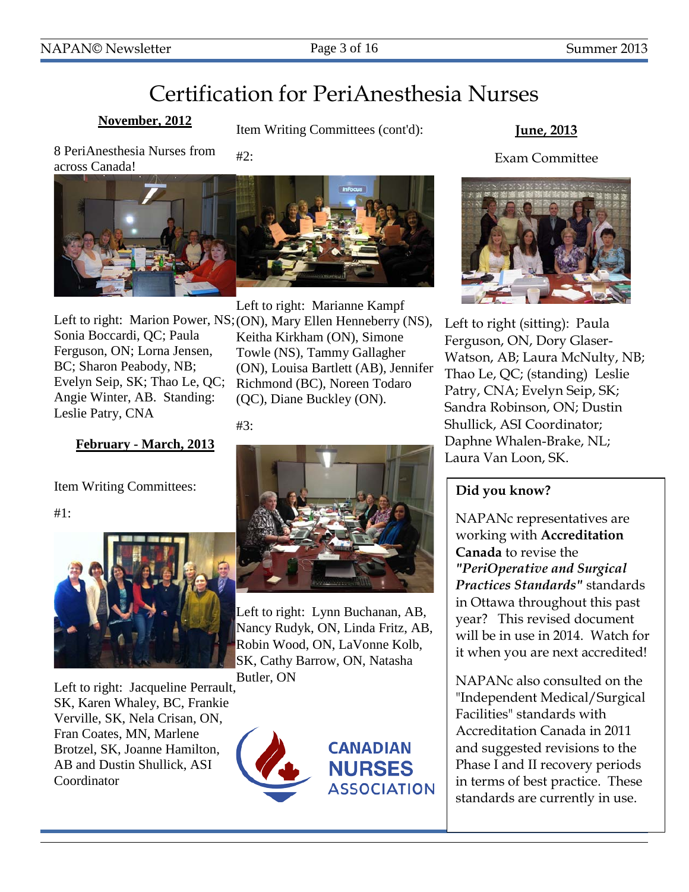# Certification for PeriAnesthesia Nurses

#### **November, 2012**

Item Writing Committees (cont'd):

### **June, 2013**

8 PeriAnesthesia Nurses from across Canada!



#2:

Sonia Boccardi, QC; Paula Ferguson, ON; Lorna Jensen, BC; Sharon Peabody, NB; Evelyn Seip, SK; Thao Le, QC; Angie Winter, AB. Standing: Leslie Patry, CNA

**February - March, 2013**

Item Writing Committees:

#1:



Left to right: Jacqueline Perrault, SK, Karen Whaley, BC, Frankie Verville, SK, Nela Crisan, ON, Fran Coates, MN, Marlene Brotzel, SK, Joanne Hamilton, AB and Dustin Shullick, ASI Coordinator

Left to right: Marion Power, NS; (ON), Mary Ellen Henneberry (NS), Left to right: Marianne Kampf Keitha Kirkham (ON), Simone Towle (NS), Tammy Gallagher (ON), Louisa Bartlett (AB), Jennifer Richmond (BC), Noreen Todaro (QC), Diane Buckley (ON).

#3:



Left to right: Lynn Buchanan, AB, Nancy Rudyk, ON, Linda Fritz, AB, Robin Wood, ON, LaVonne Kolb, SK, Cathy Barrow, ON, Natasha Butler, ON

> **CANADIAN NURSES**

**ASSOCIATION** 



Exam Committee



Left to right (sitting): Paula Ferguson, ON, Dory Glaser-Watson, AB; Laura McNulty, NB; Thao Le, QC; (standing) Leslie Patry, CNA; Evelyn Seip, SK; Sandra Robinson, ON; Dustin Shullick, ASI Coordinator; Daphne Whalen-Brake, NL; Laura Van Loon, SK.

## **Did you know?**

NAPANc representatives are working with **Accreditation Canada** to revise the *"PeriOperative and Surgical Practices Standards"* standards in Ottawa throughout this past year? This revised document will be in use in 2014. Watch for it when you are next accredited!

NAPANc also consulted on the "Independent Medical/Surgical Facilities" standards with Accreditation Canada in 2011 and suggested revisions to the Phase I and II recovery periods in terms of best practice. These standards are currently in use.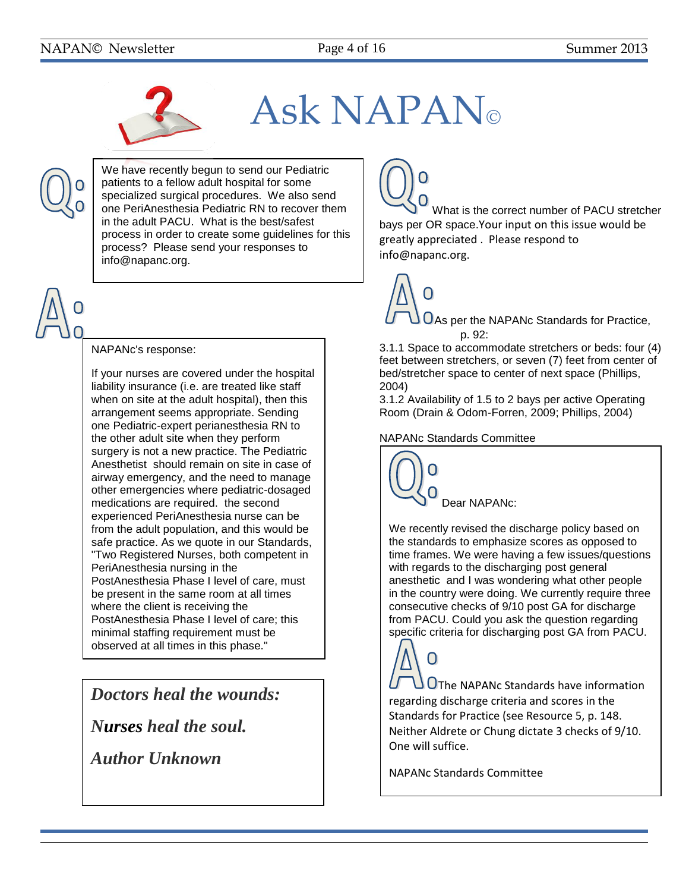

Ask NAPAN



We have recently begun to send our Pediatric patients to a fellow adult hospital for some specialized surgical procedures. We also send one PeriAnesthesia Pediatric RN to recover them in the adult PACU. What is the best/safest process in order to create some guidelines for this process? Please send your responses to info@napanc.org.

#### NAPANc's response:

If your nurses are covered under the hospital liability insurance (i.e. are treated like staff when on site at the adult hospital), then this arrangement seems appropriate. Sending one Pediatric-expert perianesthesia RN to the other adult site when they perform surgery is not a new practice. The Pediatric Anesthetist should remain on site in case of airway emergency, and the need to manage other emergencies where pediatric-dosaged medications are required. the second experienced PeriAnesthesia nurse can be from the adult population, and this would be safe practice. As we quote in our Standards, "Two Registered Nurses, both competent in PeriAnesthesia nursing in the PostAnesthesia Phase I level of care, must be present in the same room at all times where the client is receiving the PostAnesthesia Phase I level of care; this minimal staffing requirement must be observed at all times in this phase."

*Doctors heal the wounds:* 

*Nurses heal the soul.*

*Author Unknown*

What is the correct number of PACU stretcher bays per OR space.Your input on this issue would be greatly appreciated . Please respond to info@napanc.org.

O UAs per the NAPANc Standards for Practice, p. 92:

3.1.1 Space to accommodate stretchers or beds: four (4) feet between stretchers, or seven (7) feet from center of bed/stretcher space to center of next space (Phillips, 2004)

3.1.2 Availability of 1.5 to 2 bays per active Operating Room (Drain & Odom-Forren, 2009; Phillips, 2004)

NAPANc Standards Committee



We recently revised the discharge policy based on the standards to emphasize scores as opposed to time frames. We were having a few issues/questions with regards to the discharging post general anesthetic and I was wondering what other people in the country were doing. We currently require three consecutive checks of 9/10 post GA for discharge from PACU. Could you ask the question regarding specific criteria for discharging post GA from PACU.

**O**The NAPANc Standards have information regarding discharge criteria and scores in the Standards for Practice (see Resource 5, p. 148. Neither Aldrete or Chung dictate 3 checks of 9/10. One will suffice.

NAPANc Standards Committee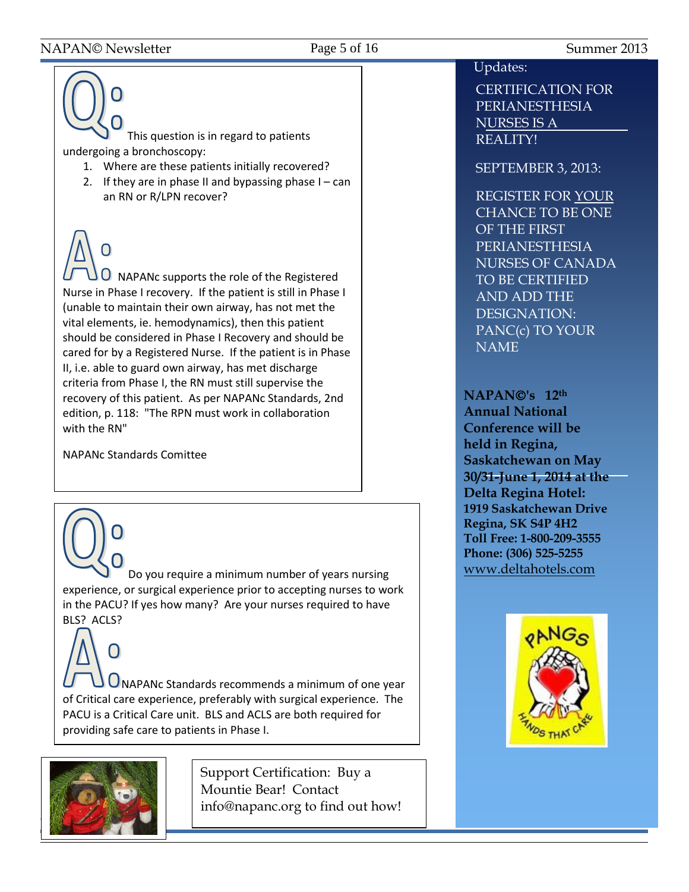This question is in regard to patients undergoing a bronchoscopy:

- 1. Where are these patients initially recovered?
- 2. If they are in phase II and bypassing phase  $I can$ an RN or R/LPN recover?

 $\Box$  NAPANc supports the role of the Registered Nurse in Phase I recovery. If the patient is still in Phase I (unable to maintain their own airway, has not met the vital elements, ie. hemodynamics), then this patient should be considered in Phase I Recovery and should be cared for by a Registered Nurse. If the patient is in Phase II, i.e. able to guard own airway, has met discharge criteria from Phase I, the RN must still supervise the recovery of this patient. As per NAPANc Standards, 2nd edition, p. 118: "The RPN must work in collaboration with the RN"

NAPANc Standards Comittee

Do you require a minimum number of years nursing experience, or surgical experience prior to accepting nurses to work in the PACU? If yes how many? Are your nurses required to have BLS? ACLS?

UNAPANc Standards recommends a minimum of one year of Critical care experience, preferably with surgical experience. The PACU is a Critical Care unit. BLS and ACLS are both required for providing safe care to patients in Phase I.



Support Certification: Buy a Mountie Bear! Contact info@napanc.org to find out how!

#### Updates:

CERTIFICATION FOR PERIANESTHESIA NURSES IS A REALITY!

SEPTEMBER 3, 2013:

REGISTER FOR YOUR CHANCE TO BE ONE OF THE FIRST PERIANESTHESIA NURSES OF CANADA TO BE CERTIFIED AND ADD THE DESIGNATION: PANC(c) TO YOUR NAME

**NAPAN's 12th Annual National Conference will be held in Regina, Saskatchewan on May 30/31-June 1, 2014 at the Delta Regina Hotel: 1919 Saskatchewan Drive Regina, SK S4P 4H2 Toll Free: 1-800-209-3555 Phone: (306) 525-5255** [www.deltahotels.com](http://www.deltahotels.com/)

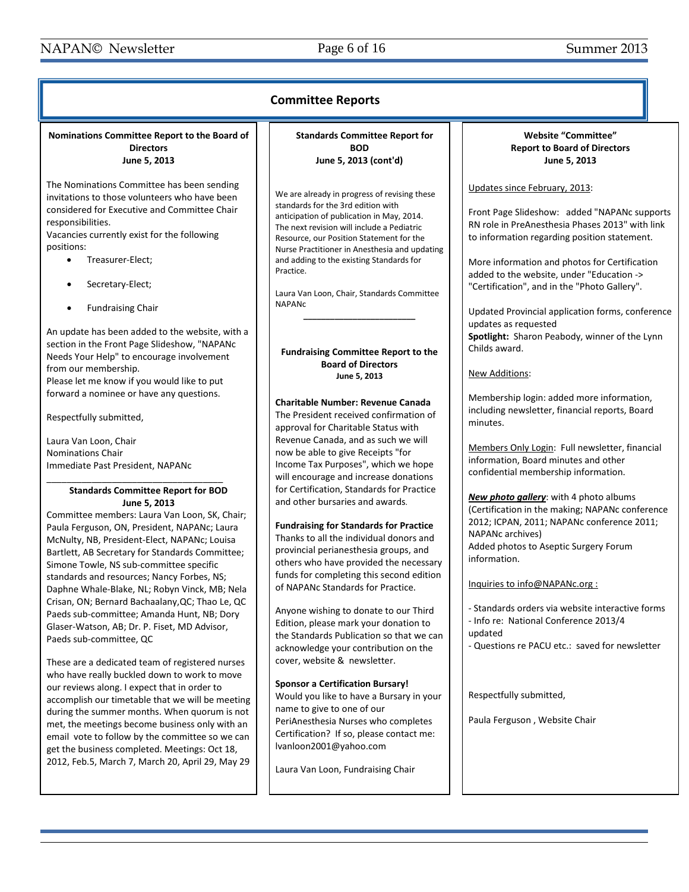#### **Nominations Committee Report to the Board of Directors June 5, 2013** The Nominations Committee has been sending invitations to those volunteers who have been considered for Executive and Committee Chair responsibilities. Vacancies currently exist for the following positions: • Treasurer-Elect; • Secretary-Elect; • Fundraising Chair An update has been added to the website, with a section in the Front Page Slideshow, "NAPANc Needs Your Help" to encourage involvement from our membership. Please let me know if you would like to put forward a nominee or have any questions. Respectfully submitted, Laura Van Loon, Chair Nominations Chair Immediate Past President, NAPANc \_\_\_\_\_\_\_\_\_\_\_\_\_\_\_\_\_\_\_\_\_\_\_\_\_\_\_\_\_\_\_\_\_\_\_ **Standards Committee Report for BOD June 5, 2013** Committee members: Laura Van Loon, SK, Chair; Paula Ferguson, ON, President, NAPANc; Laura McNulty, NB, President-Elect, NAPANc; Louisa Bartlett, AB Secretary for Standards Committee; Simone Towle, NS sub-committee specific standards and resources; Nancy Forbes, NS; Daphne Whale-Blake, NL; Robyn Vinck, MB; Nela Crisan, ON; Bernard Bachaalany,QC; Thao Le, QC Paeds sub-committee; Amanda Hunt, NB; Dory Glaser-Watson, AB; Dr. P. Fiset, MD Advisor, Paeds sub-committee, QC These are a dedicated team of registered nurses who have really buckled down to work to move our reviews along. I expect that in order to accomplish our timetable that we will be meeting during the summer months. When quorum is not met, the meetings become business only with an email vote to follow by the committee so we can get the business completed. Meetings: Oct 18, 2012, Feb.5, March 7, March 20, April 29, May 29 **Standards Committee Report for BOD June 5, 2013 (cont'd)** We are already in progress of revising these standards for the 3rd edition with anticipation of publication in May, 2014. The next revision will include a Pediatric Resource, our Position Statement for the Nurse Practitioner in Anesthesia and updating and adding to the existing Standards for Practice. Laura Van Loon, Chair, Standards Committee NAPANc **\_\_\_\_\_\_\_\_\_\_\_\_\_\_\_\_\_\_\_\_\_\_\_\_\_ Fundraising Committee Report to the Board of Directors June 5, 2013 Charitable Number: Revenue Canada** The President received confirmation of approval for Charitable Status with Revenue Canada, and as such we will now be able to give Receipts "for Income Tax Purposes", which we hope will encourage and increase donations for Certification, Standards for Practice and other bursaries and awards. **Fundraising for Standards for Practice** Thanks to all the individual donors and provincial perianesthesia groups, and others who have provided the necessary funds for completing this second edition of NAPANc Standards for Practice. Anyone wishing to donate to our Third Edition, please mark your donation to the Standards Publication so that we can acknowledge your contribution on the cover, website & newsletter. **Sponsor a Certification Bursary!** Would you like to have a Bursary in your name to give to one of our PeriAnesthesia Nurses who completes Certification? If so, please contact me: lvanloon2001@yahoo.com Laura Van Loon, Fundraising Chair **Website "Committee" Report to Board of Directors June 5, 2013** Updates since February, 2013: Front Page Slideshow: added "NAPANc supports RN role in PreAnesthesia Phases 2013" with link to information regarding position statement. More information and photos for Certification added to the website, under "Education -> "Certification", and in the "Photo Gallery". Updated Provincial application forms, conference updates as requested **Spotlight:** Sharon Peabody, winner of the Lynn Childs award. New Additions: Membership login: added more information, including newsletter, financial reports, Board minutes. Members Only Login: Full newsletter, financial information, Board minutes and other confidential membership information. *New photo gallery*: with 4 photo albums (Certification in the making; NAPANc conference 2012; ICPAN, 2011; NAPANc conference 2011; NAPANc archives) Added photos to Aseptic Surgery Forum information. Inquiries to [info@NAPANc.org](mailto:info@NAPANc.org) : - Standards orders via website interactive forms - Info re: National Conference 2013/4 updated - Questions re PACU etc.: saved for newsletter Respectfully submitted, Paula Ferguson , Website Chair  **Committee Reports**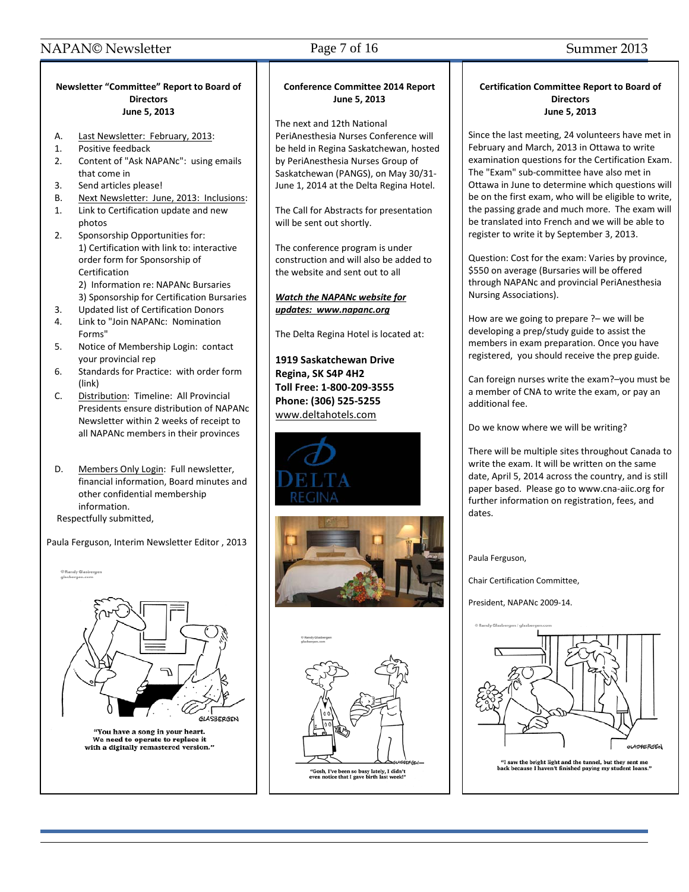#### NAPAN© Newsletter Page 7 of 16 Summer 2013

#### **Newsletter "Committee" Report to Board of Directors June 5, 2013**

- A. Last Newsletter: February, 2013:
- 1. Positive feedback
- 2. Content of "Ask NAPANc": using emails that come in
- 3. Send articles please!
- B. Next Newsletter: June, 2013: Inclusions:
- 1. Link to Certification update and new photos
- 2. Sponsorship Opportunities for: 1) Certification with link to: interactive order form for Sponsorship of Certification 2) Information re: NAPANc Bursaries
	- 3) Sponsorship for Certification Bursaries
- 3. Updated list of Certification Donors
- 4. Link to "Join NAPANc: Nomination Forms"
- 5. Notice of Membership Login: contact your provincial rep
- 6. Standards for Practice: with order form (link)
- C. Distribution: Timeline: All Provincial Presidents ensure distribution of NAPANc Newsletter within 2 weeks of receipt to all NAPANc members in their provinces
- D. Members Only Login: Full newsletter, financial information, Board minutes and other confidential membership information.

Respectfully submitted,

Paula Ferguson, Interim Newsletter Editor , 2013



#### **Conference Committee 2014 Report June 5, 2013**

The next and 12th National PeriAnesthesia Nurses Conference will be held in Regina Saskatchewan, hosted by PeriAnesthesia Nurses Group of Saskatchewan (PANGS), on May 30/31- June 1, 2014 at the Delta Regina Hotel.

The Call for Abstracts for presentation will be sent out shortly.

The conference program is under construction and will also be added to the website and sent out to all

#### *Watch the NAPANc website for updates: www.napanc.org*

The Delta Regina Hotel is located at:

**1919 Saskatchewan Drive Regina, SK S4P 4H2 Toll Free: 1-800-209-3555 Phone: (306) 525-5255** [www.deltahotels.com](http://www.deltahotels.com/)







#### **Certification Committee Report to Board of Directors June 5, 2013**

Since the last meeting, 24 volunteers have met in February and March, 2013 in Ottawa to write examination questions for the Certification Exam. The "Exam" sub-committee have also met in Ottawa in June to determine which questions will be on the first exam, who will be eligible to write, the passing grade and much more. The exam will be translated into French and we will be able to register to write it by September 3, 2013.

Question: Cost for the exam: Varies by province, \$550 on average (Bursaries will be offered through NAPANc and provincial PeriAnesthesia Nursing Associations).

How are we going to prepare ?– we will be developing a prep/study guide to assist the members in exam preparation. Once you have registered, you should receive the prep guide.

Can foreign nurses write the exam?–you must be a member of CNA to write the exam, or pay an additional fee.

Do we know where we will be writing?

There will be multiple sites throughout Canada to write the exam. It will be written on the same date, April 5, 2014 across the country, and is still paper based. Please go to www.cna-aiic.org for further information on registration, fees, and dates.

Paula Ferguson,

Chair Certification Committee,

President, NAPANc 2009-14.

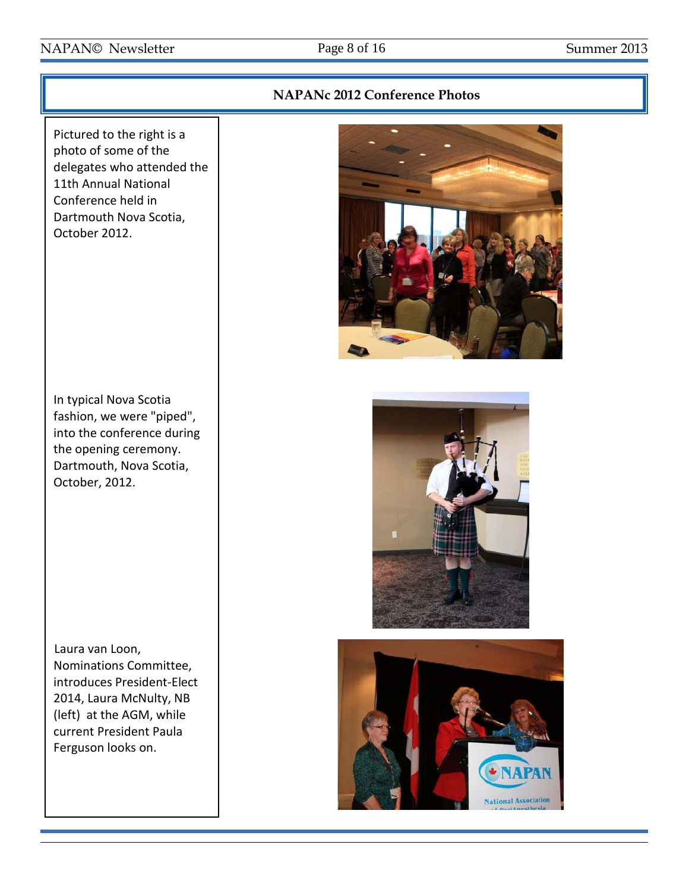#### NAPAN© Newsletter Page 8 of 16 Summer 2013

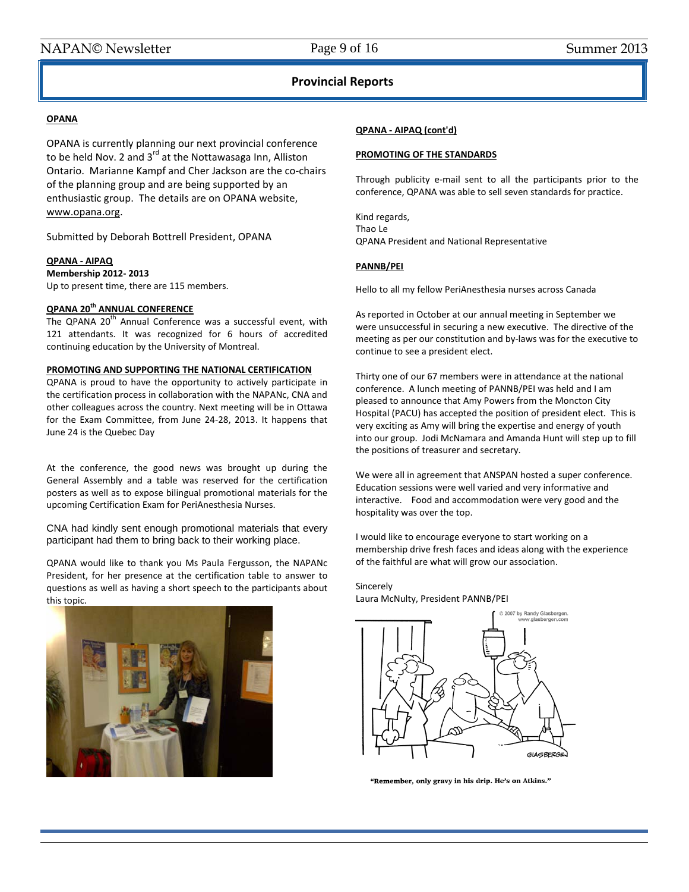#### **Provincial Reports**

#### **OPANA**

OPANA is currently planning our next provincial conference to be held Nov. 2 and 3<sup>rd</sup> at the Nottawasaga Inn, Alliston Ontario. Marianne Kampf and Cher Jackson are the co-chairs of the planning group and are being supported by an enthusiastic group. The details are on OPANA website, [www.opana.org.](http://www.opana.org/)

Submitted by Deborah Bottrell President, OPANA

#### **QPANA - AIPAQ**

**Membership 2012- 2013** Up to present time, there are 115 members.

#### **QPANA 20th ANNUAL CONFERENCE**

The QPANA 20<sup>th</sup> Annual Conference was a successful event, with 121 attendants. It was recognized for 6 hours of accredited continuing education by the University of Montreal.

#### **PROMOTING AND SUPPORTING THE NATIONAL CERTIFICATION**

QPANA is proud to have the opportunity to actively participate in the certification process in collaboration with the NAPANc, CNA and other colleagues across the country. Next meeting will be in Ottawa for the Exam Committee, from June 24-28, 2013. It happens that June 24 is the Quebec Day

At the conference, the good news was brought up during the General Assembly and a table was reserved for the certification posters as well as to expose bilingual promotional materials for the upcoming Certification Exam for PeriAnesthesia Nurses.

CNA had kindly sent enough promotional materials that every participant had them to bring back to their working place.

QPANA would like to thank you Ms Paula Fergusson, the NAPANc President, for her presence at the certification table to answer to questions as well as having a short speech to the participants about this topic.



#### **QPANA - AIPAQ (cont'd)**

#### **PROMOTING OF THE STANDARDS**

Through publicity e-mail sent to all the participants prior to the conference, QPANA was able to sell seven standards for practice.

Kind regards, Thao Le QPANA President and National Representative

#### **PANNB/PEI**

Hello to all my fellow PeriAnesthesia nurses across Canada

As reported in October at our annual meeting in September we were unsuccessful in securing a new executive. The directive of the meeting as per our constitution and by-laws was for the executive to continue to see a president elect.

Thirty one of our 67 members were in attendance at the national conference. A lunch meeting of PANNB/PEI was held and I am pleased to announce that Amy Powers from the Moncton City Hospital (PACU) has accepted the position of president elect. This is very exciting as Amy will bring the expertise and energy of youth into our group. Jodi McNamara and Amanda Hunt will step up to fill the positions of treasurer and secretary.

We were all in agreement that ANSPAN hosted a super conference. Education sessions were well varied and very informative and interactive. Food and accommodation were very good and the hospitality was over the top.

I would like to encourage everyone to start working on a membership drive fresh faces and ideas along with the experience of the faithful are what will grow our association.

Sincerely Laura McNulty, President PANNB/PEI



"Remember, only gravy in his drip. He's on Atkins."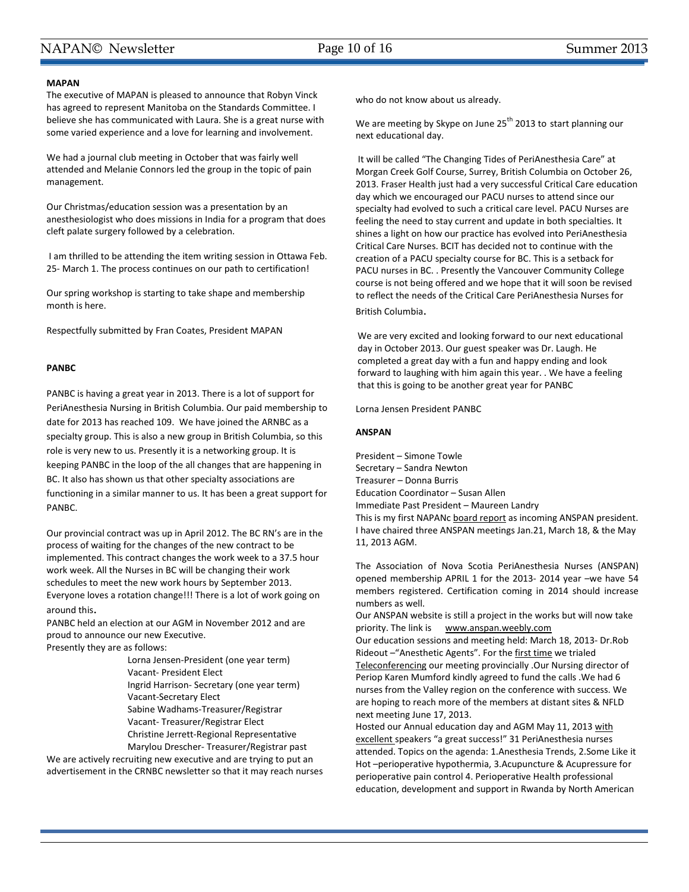#### NAPAN© Newsletter Page 10 of 16 Summer 2013

#### **MAPAN**

The executive of MAPAN is pleased to announce that Robyn Vinck has agreed to represent Manitoba on the Standards Committee. I believe she has communicated with Laura. She is a great nurse with some varied experience and a love for learning and involvement.

We had a journal club meeting in October that was fairly well attended and Melanie Connors led the group in the topic of pain management.

Our Christmas/education session was a presentation by an anesthesiologist who does missions in India for a program that does cleft palate surgery followed by a celebration.

I am thrilled to be attending the item writing session in Ottawa Feb. 25- March 1. The process continues on our path to certification!

Our spring workshop is starting to take shape and membership month is here.

Respectfully submitted by Fran Coates, President MAPAN

#### **PANBC**

PANBC is having a great year in 2013. There is a lot of support for PeriAnesthesia Nursing in British Columbia. Our paid membership to date for 2013 has reached 109. We have joined the ARNBC as a specialty group. This is also a new group in British Columbia, so this role is very new to us. Presently it is a networking group. It is keeping PANBC in the loop of the all changes that are happening in BC. It also has shown us that other specialty associations are functioning in a similar manner to us. It has been a great support for PANBC.

Our provincial contract was up in April 2012. The BC RN's are in the process of waiting for the changes of the new contract to be implemented. This contract changes the work week to a 37.5 hour work week. All the Nurses in BC will be changing their work schedules to meet the new work hours by September 2013. Everyone loves a rotation change!!! There is a lot of work going on around this.

PANBC held an election at our AGM in November 2012 and are proud to announce our new Executive. Presently they are as follows:

Lorna Jensen-President (one year term) Vacant- President Elect Ingrid Harrison- Secretary (one year term) Vacant-Secretary Elect Sabine Wadhams-Treasurer/Registrar Vacant- Treasurer/Registrar Elect Christine Jerrett-Regional Representative Marylou Drescher- Treasurer/Registrar past

We are actively recruiting new executive and are trying to put an advertisement in the CRNBC newsletter so that it may reach nurses who do not know about us already.

We are meeting by Skype on June 25<sup>th</sup> 2013 to start planning our next educational day.

It will be called "The Changing Tides of PeriAnesthesia Care" at Morgan Creek Golf Course, Surrey, British Columbia on October 26, 2013. Fraser Health just had a very successful Critical Care education day which we encouraged our PACU nurses to attend since our specialty had evolved to such a critical care level. PACU Nurses are feeling the need to stay current and update in both specialties. It shines a light on how our practice has evolved into PeriAnesthesia Critical Care Nurses. BCIT has decided not to continue with the creation of a PACU specialty course for BC. This is a setback for PACU nurses in BC. . Presently the Vancouver Community College course is not being offered and we hope that it will soon be revised to reflect the needs of the Critical Care PeriAnesthesia Nurses for British Columbia.

We are very excited and looking forward to our next educational day in October 2013. Our guest speaker was Dr. Laugh. He completed a great day with a fun and happy ending and look forward to laughing with him again this year. . We have a feeling that this is going to be another great year for PANBC

Lorna Jensen President PANBC

#### **ANSPAN**

President – Simone Towle Secretary – Sandra Newton Treasurer – Donna Burris Education Coordinator – Susan Allen Immediate Past President – Maureen Landry This is my first NAPANc board report as incoming ANSPAN president.

I have chaired three ANSPAN meetings Jan.21, March 18, & the May 11, 2013 AGM.

The Association of Nova Scotia PeriAnesthesia Nurses (ANSPAN) opened membership APRIL 1 for the 2013- 2014 year –we have 54 members registered. Certification coming in 2014 should increase numbers as well.

Our ANSPAN website is still a project in the works but will now take priority. The link is [www.anspan.weebly.com](http://www.anspan.weebly.com/)

Our education sessions and meeting held: March 18, 2013- Dr.Rob Rideout –"Anesthetic Agents". For the first time we trialed Teleconferencing our meeting provincially .Our Nursing director of Periop Karen Mumford kindly agreed to fund the calls .We had 6 nurses from the Valley region on the conference with success. We are hoping to reach more of the members at distant sites & NFLD next meeting June 17, 2013.

Hosted our Annual education day and AGM May 11, 2013 with excellent speakers "a great success!" 31 PeriAnesthesia nurses attended. Topics on the agenda: 1.Anesthesia Trends, 2.Some Like it Hot –perioperative hypothermia, 3.Acupuncture & Acupressure for perioperative pain control 4. Perioperative Health professional education, development and support in Rwanda by North American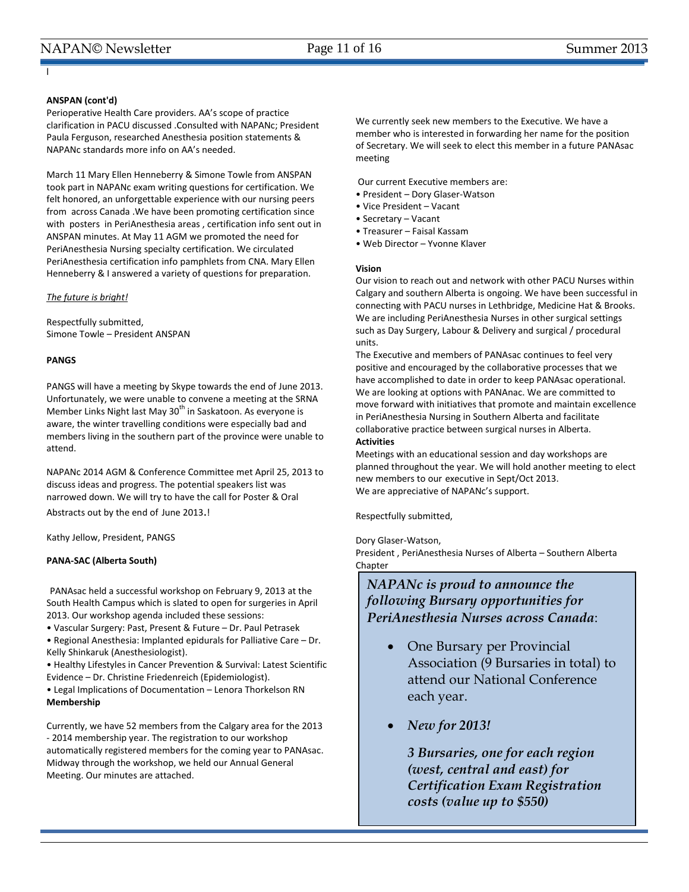#### **ANSPAN (cont'd)**

l

Perioperative Health Care providers. AA's scope of practice clarification in PACU discussed .Consulted with NAPANc; President Paula Ferguson, researched Anesthesia position statements & NAPANc standards more info on AA's needed.

March 11 Mary Ellen Henneberry & Simone Towle from ANSPAN took part in NAPANc exam writing questions for certification. We felt honored, an unforgettable experience with our nursing peers from across Canada .We have been promoting certification since with posters in PeriAnesthesia areas , certification info sent out in ANSPAN minutes. At May 11 AGM we promoted the need for PeriAnesthesia Nursing specialty certification. We circulated PeriAnesthesia certification info pamphlets from CNA. Mary Ellen Henneberry & I answered a variety of questions for preparation.

#### *The future is bright!*

Respectfully submitted, Simone Towle – President ANSPAN

#### **PANGS**

PANGS will have a meeting by Skype towards the end of June 2013. Unfortunately, we were unable to convene a meeting at the SRNA Member Links Night last May 30<sup>th</sup> in Saskatoon. As everyone is aware, the winter travelling conditions were especially bad and members living in the southern part of the province were unable to attend.

NAPANc 2014 AGM & Conference Committee met April 25, 2013 to discuss ideas and progress. The potential speakers list was narrowed down. We will try to have the call for Poster & Oral

Abstracts out by the end of June 2013.!

Kathy Jellow, President, PANGS

#### **PANA-SAC (Alberta South)**

PANAsac held a successful workshop on February 9, 2013 at the South Health Campus which is slated to open for surgeries in April 2013. Our workshop agenda included these sessions:

• Vascular Surgery: Past, Present & Future – Dr. Paul Petrasek

• Regional Anesthesia: Implanted epidurals for Palliative Care – Dr. Kelly Shinkaruk (Anesthesiologist).

• Healthy Lifestyles in Cancer Prevention & Survival: Latest Scientific Evidence – Dr. Christine Friedenreich (Epidemiologist).

• Legal Implications of Documentation – Lenora Thorkelson RN **Membership**

Currently, we have 52 members from the Calgary area for the 2013 - 2014 membership year. The registration to our workshop automatically registered members for the coming year to PANAsac. Midway through the workshop, we held our Annual General Meeting. Our minutes are attached.

We currently seek new members to the Executive. We have a member who is interested in forwarding her name for the position of Secretary. We will seek to elect this member in a future PANAsac meeting

Our current Executive members are:

- President Dory Glaser-Watson
- Vice President Vacant
- Secretary Vacant
- Treasurer Faisal Kassam
- Web Director Yvonne Klaver

#### **Vision**

Our vision to reach out and network with other PACU Nurses within Calgary and southern Alberta is ongoing. We have been successful in connecting with PACU nurses in Lethbridge, Medicine Hat & Brooks. We are including PeriAnesthesia Nurses in other surgical settings such as Day Surgery, Labour & Delivery and surgical / procedural units.

The Executive and members of PANAsac continues to feel very positive and encouraged by the collaborative processes that we have accomplished to date in order to keep PANAsac operational. We are looking at options with PANAnac. We are committed to move forward with initiatives that promote and maintain excellence in PeriAnesthesia Nursing in Southern Alberta and facilitate collaborative practice between surgical nurses in Alberta.

#### **Activities**

Meetings with an educational session and day workshops are planned throughout the year. We will hold another meeting to elect new members to our executive in Sept/Oct 2013. We are appreciative of NAPANc's support.

Respectfully submitted,

#### Dory Glaser-Watson,

President , PeriAnesthesia Nurses of Alberta – Southern Alberta Chapter

#### *NAPANc is proud to announce the following Bursary opportunities for PeriAnesthesia Nurses across Canada*:

- One Bursary per Provincial Association (9 Bursaries in total) to attend our National Conference each year.
- *New for 2013!*

*3 Bursaries, one for each region (west, central and east) for Certification Exam Registration costs (value up to \$550)*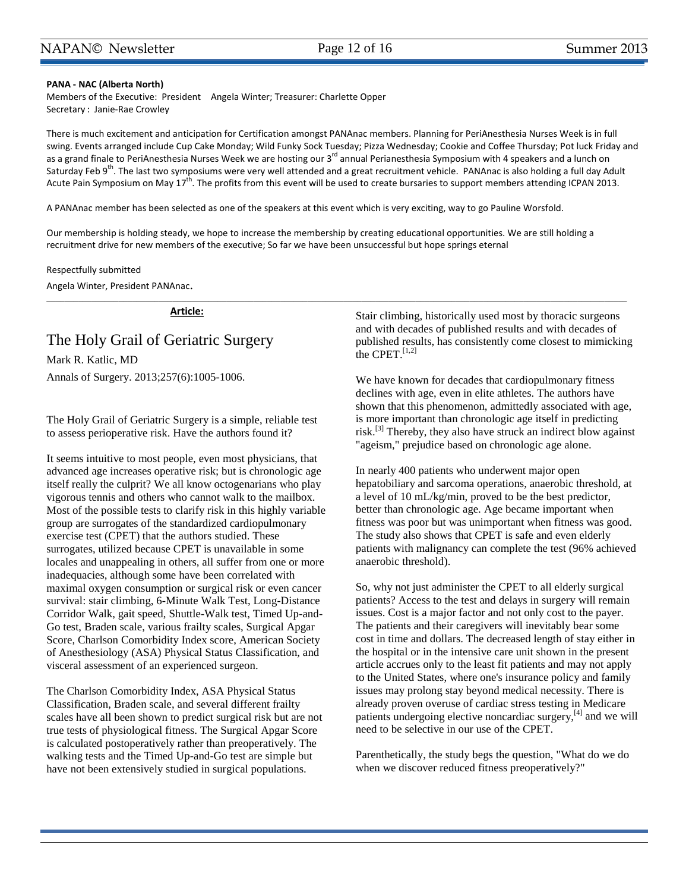#### **PANA - NAC (Alberta North)**

Members of the Executive: President Angela Winter; Treasurer: Charlette Opper Secretary : Janie-Rae Crowley

There is much excitement and anticipation for Certification amongst PANAnac members. Planning for PeriAnesthesia Nurses Week is in full swing. Events arranged include Cup Cake Monday; Wild Funky Sock Tuesday; Pizza Wednesday; Cookie and Coffee Thursday; Pot luck Friday and as a grand finale to PeriAnesthesia Nurses Week we are hosting our 3<sup>rd</sup> annual Perianesthesia Symposium with 4 speakers and a lunch on Saturday Feb 9<sup>th</sup>. The last two symposiums were very well attended and a great recruitment vehicle. PANAnac is also holding a full day Adult Acute Pain Symposium on May 17<sup>th</sup>. The profits from this event will be used to create bursaries to support members attending ICPAN 2013.

A PANAnac member has been selected as one of the speakers at this event which is very exciting, way to go Pauline Worsfold.

Our membership is holding steady, we hope to increase the membership by creating educational opportunities. We are still holding a recruitment drive for new members of the executive; So far we have been unsuccessful but hope springs eternal

\_\_\_\_\_\_\_\_\_\_\_\_\_\_\_\_\_\_\_\_\_\_\_\_\_\_\_\_\_\_\_\_\_\_\_\_\_\_\_\_\_\_\_\_\_\_\_\_\_\_\_\_\_\_\_\_\_\_\_\_\_\_\_\_\_\_\_\_\_\_\_\_\_\_\_\_\_\_\_\_\_\_\_\_\_\_\_\_\_\_\_\_\_\_\_\_\_\_\_\_\_\_\_\_\_\_\_\_\_\_\_\_\_\_\_\_\_\_\_\_\_\_\_\_\_\_\_\_\_

Respectfully submitted

Angela Winter, President PANAnac.

**Article:** 

## The Holy Grail of Geriatric Surgery

Mark R. Katlic, MD Annals of Surgery. 2013;257(6):1005-1006.

The Holy Grail of Geriatric Surgery is a simple, reliable test to assess perioperative risk. Have the authors found it?

It seems intuitive to most people, even most physicians, that advanced age increases operative risk; but is chronologic age itself really the culprit? We all know octogenarians who play vigorous tennis and others who cannot walk to the mailbox. Most of the possible tests to clarify risk in this highly variable group are surrogates of the standardized cardiopulmonary exercise test (CPET) that the authors studied. These surrogates, utilized because CPET is unavailable in some locales and unappealing in others, all suffer from one or more inadequacies, although some have been correlated with maximal oxygen consumption or surgical risk or even cancer survival: stair climbing, 6-Minute Walk Test, Long-Distance Corridor Walk, gait speed, Shuttle-Walk test, Timed Up-and-Go test, Braden scale, various frailty scales, Surgical Apgar Score, Charlson Comorbidity Index score, American Society of Anesthesiology (ASA) Physical Status Classification, and visceral assessment of an experienced surgeon.

The Charlson Comorbidity Index, ASA Physical Status Classification, Braden scale, and several different frailty scales have all been shown to predict surgical risk but are not true tests of physiological fitness. The Surgical Apgar Score is calculated postoperatively rather than preoperatively. The walking tests and the Timed Up-and-Go test are simple but have not been extensively studied in surgical populations.

Stair climbing, historically used most by thoracic surgeons and with decades of published results and with decades of published results, has consistently come closest to mimicking the CPET. $[1,2]$ 

We have known for decades that cardiopulmonary fitness declines with age, even in elite athletes. The authors have shown that this phenomenon, admittedly associated with age, is more important than chronologic age itself in predicting risk.<sup>[\[3\]](javascript:newshowcontent()</sup> Thereby, they also have struck an indirect blow against "ageism," prejudice based on chronologic age alone.

In nearly 400 patients who underwent major open hepatobiliary and sarcoma operations, anaerobic threshold, at a level of 10 mL/kg/min, proved to be the best predictor, better than chronologic age. Age became important when fitness was poor but was unimportant when fitness was good. The study also shows that CPET is safe and even elderly patients with malignancy can complete the test (96% achieved anaerobic threshold).

So, why not just administer the CPET to all elderly surgical patients? Access to the test and delays in surgery will remain issues. Cost is a major factor and not only cost to the payer. The patients and their caregivers will inevitably bear some cost in time and dollars. The decreased length of stay either in the hospital or in the intensive care unit shown in the present article accrues only to the least fit patients and may not apply to the United States, where one's insurance policy and family issues may prolong stay beyond medical necessity. There is already proven overuse of cardiac stress testing in Medicare patients undergoing elective noncardiac surgery, $[4]$  and we will need to be selective in our use of the CPET.

Parenthetically, the study begs the question, "What do we do when we discover reduced fitness preoperatively?"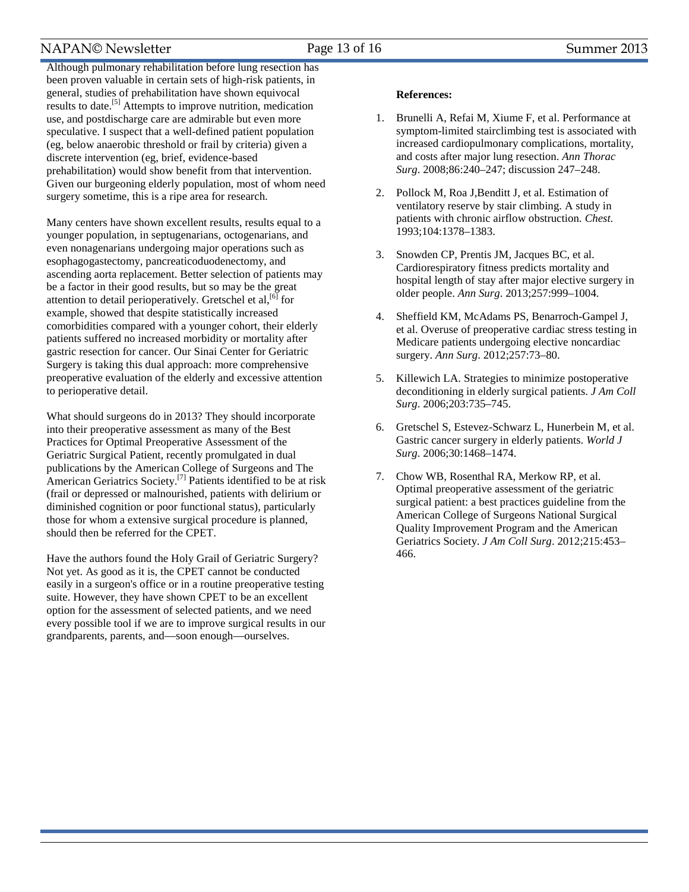#### NAPAN© Newsletter Page 13 of 16 Summer 2013

Although pulmonary rehabilitation before lung resection has been proven valuable in certain sets of high-risk patients, in general, studies of prehabilitation have shown equivocal results to date.<sup>[\[5\]](javascript:newshowcontent()</sup> Attempts to improve nutrition, medication use, and postdischarge care are admirable but even more speculative. I suspect that a well-defined patient population (eg, below anaerobic threshold or frail by criteria) given a discrete intervention (eg, brief, evidence-based prehabilitation) would show benefit from that intervention. Given our burgeoning elderly population, most of whom need surgery sometime, this is a ripe area for research.

Many centers have shown excellent results, results equal to a younger population, in septugenarians, octogenarians, and even nonagenarians undergoing major operations such as esophagogastectomy, pancreaticoduodenectomy, and ascending aorta replacement. Better selection of patients may be a factor in their good results, but so may be the great attention to detail perioperatively. Gretschel et al,  $\frac{1}{6}$  for example, showed that despite statistically increased comorbidities compared with a younger cohort, their elderly patients suffered no increased morbidity or mortality after gastric resection for cancer. Our Sinai Center for Geriatric Surgery is taking this dual approach: more comprehensive preoperative evaluation of the elderly and excessive attention to perioperative detail.

What should surgeons do in 2013? They should incorporate into their preoperative assessment as many of the Best Practices for Optimal Preoperative Assessment of the Geriatric Surgical Patient, recently promulgated in dual publications by the American College of Surgeons and The American Geriatrics Society.[\[7\]](javascript:newshowcontent() Patients identified to be at risk (frail or depressed or malnourished, patients with delirium or diminished cognition or poor functional status), particularly those for whom a extensive surgical procedure is planned, should then be referred for the CPET.

Have the authors found the Holy Grail of Geriatric Surgery? Not yet. As good as it is, the CPET cannot be conducted easily in a surgeon's office or in a routine preoperative testing suite. However, they have shown CPET to be an excellent option for the assessment of selected patients, and we need every possible tool if we are to improve surgical results in our grandparents, parents, and—soon enough—ourselves.

#### **References:**

- 1. Brunelli A, Refai M, Xiume F, et al. Performance at symptom-limited stairclimbing test is associated with increased cardiopulmonary complications, mortality, and costs after major lung resection. *Ann Thorac Surg*. 2008;86:240–247; discussion 247–248.
- 2. Pollock M, Roa J,Benditt J, et al. Estimation of ventilatory reserve by stair climbing. A study in patients with chronic airflow obstruction. *Chest*. 1993;104:1378–1383.
- 3. Snowden CP, Prentis JM, Jacques BC, et al. Cardiorespiratory fitness predicts mortality and hospital length of stay after major elective surgery in older people. *Ann Surg*. 2013;257:999–1004.
- 4. Sheffield KM, McAdams PS, Benarroch-Gampel J, et al. Overuse of preoperative cardiac stress testing in Medicare patients undergoing elective noncardiac surgery. *Ann Surg*. 2012;257:73–80.
- 5. Killewich LA. Strategies to minimize postoperative deconditioning in elderly surgical patients. *J Am Coll Surg*. 2006;203:735–745.
- 6. Gretschel S, Estevez-Schwarz L, Hunerbein M, et al. Gastric cancer surgery in elderly patients. *World J Surg*. 2006;30:1468–1474.
- 7. Chow WB, Rosenthal RA, Merkow RP, et al. Optimal preoperative assessment of the geriatric surgical patient: a best practices guideline from the American College of Surgeons National Surgical Quality Improvement Program and the American Geriatrics Society. *J Am Coll Surg*. 2012;215:453– 466.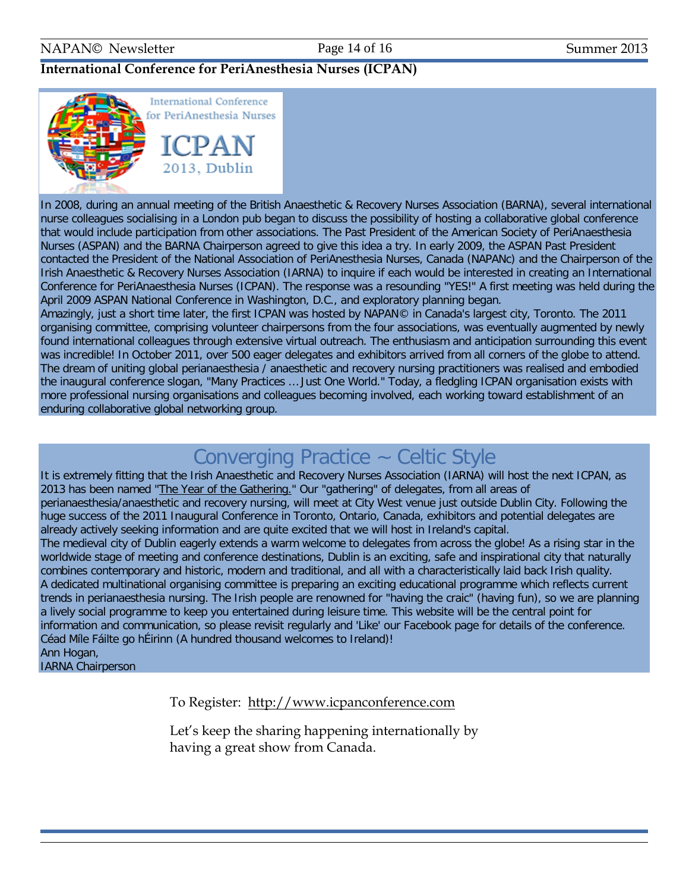#### **International Conference for PeriAnesthesia Nurses (ICPAN)**



In 2008, during an annual meeting of the British Anaesthetic & Recovery Nurses Association (BARNA), several international nurse colleagues socialising in a London pub began to discuss the possibility of hosting a collaborative global conference that would include participation from other associations. The Past President of the American Society of PeriAnaesthesia Nurses (ASPAN) and the BARNA Chairperson agreed to give this idea a try. In early 2009, the ASPAN Past President contacted the President of the National Association of PeriAnesthesia Nurses, Canada (NAPANc) and the Chairperson of the Irish Anaesthetic & Recovery Nurses Association (IARNA) to inquire if each would be interested in creating an International Conference for PeriAnaesthesia Nurses (ICPAN). The response was a resounding "YES!" A first meeting was held during the April 2009 ASPAN National Conference in Washington, D.C., and exploratory planning began.

Amazingly, just a short time later, the first ICPAN was hosted by NAPAN© in Canada's largest city, Toronto. The 2011 organising committee, comprising volunteer chairpersons from the four associations, was eventually augmented by newly found international colleagues through extensive virtual outreach. The enthusiasm and anticipation surrounding this event was incredible! In October 2011, over 500 eager delegates and exhibitors arrived from all corners of the globe to attend. The dream of uniting global perianaesthesia / anaesthetic and recovery nursing practitioners was realised and embodied the inaugural conference slogan, "Many Practices … Just One World." Today, a fledgling ICPAN organisation exists with more professional nursing organisations and colleagues becoming involved, each working toward establishment of an enduring collaborative global networking group.

# Converging Practice ~ Celtic Style

It is extremely fitting that the Irish Anaesthetic and Recovery Nurses Association (IARNA) will host the next ICPAN, as 2013 has been named ["The Year of the Gathering."](http://www.icpanconference.com/index.php/the-gathering/) Our "gathering" of delegates, from all areas of perianaesthesia/anaesthetic and recovery nursing, will meet at City West venue just outside Dublin City. Following the huge success of the 2011 Inaugural Conference in Toronto, Ontario, Canada, exhibitors and potential delegates are already actively seeking information and are quite excited that we will host in Ireland's capital.

The medieval city of Dublin eagerly extends a warm welcome to delegates from across the globe! As a rising star in the worldwide stage of meeting and conference destinations, Dublin is an exciting, safe and inspirational city that naturally combines contemporary and historic, modern and traditional, and all with a characteristically laid back Irish quality. A dedicated multinational organising committee is preparing an exciting educational programme which reflects current trends in perianaesthesia nursing. The Irish people are renowned for "having the craic" (having fun), so we are planning a lively social programme to keep you entertained during leisure time. This website will be the central point for information and communication, so please revisit regularly and 'Like' our Facebook page for details of the conference. Céad Míle Fáilte go hÉirinn (A hundred thousand welcomes to Ireland)! Ann Hogan,

IARNA Chairperson

To Register: [http://www.icpanconference.com](http://www.icpanconference.com/) 

Let's keep the sharing happening internationally by having a great show from Canada.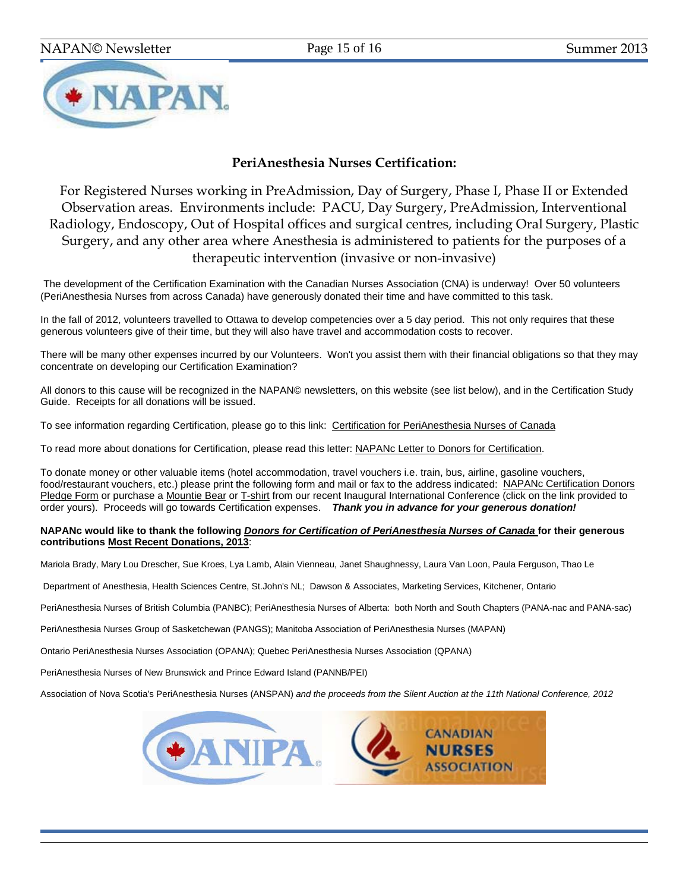#### NAPAN© Newsletter Page 15 of 16 Summer 2013



#### **PeriAnesthesia Nurses Certification:**

For Registered Nurses working in PreAdmission, Day of Surgery, Phase I, Phase II or Extended Observation areas. Environments include: PACU, Day Surgery, PreAdmission, Interventional Radiology, Endoscopy, Out of Hospital offices and surgical centres, including Oral Surgery, Plastic Surgery, and any other area where Anesthesia is administered to patients for the purposes of a therapeutic intervention (invasive or non-invasive)

The development of the Certification Examination with the Canadian Nurses Association (CNA) is underway! Over 50 volunteers (PeriAnesthesia Nurses from across Canada) have generously donated their time and have committed to this task.

In the fall of 2012, volunteers travelled to Ottawa to develop competencies over a 5 day period. This not only requires that these generous volunteers give of their time, but they will also have travel and accommodation costs to recover.

There will be many other expenses incurred by our Volunteers. Won't you assist them with their financial obligations so that they may concentrate on developing our Certification Examination?

All donors to this cause will be recognized in the NAPAN© newsletters, on this website (see list below), and in the Certification Study Guide. Receipts for all donations will be issued.

To see information regarding Certification, please go to this link: [Certification for PeriAnesthesia Nurses of Canada](http://www.napanc.org/education/certification-examination)

To read more about donations for Certification, please read this letter: [NAPANc Letter to Donors for Certification.](http://www.napanc.org/assets/Forms/NAPANc%20Letter%20to%20Donors%20for%20Certification%20Fundraising%20Final.pdf)

To donate money or other valuable items (hotel accommodation, travel vouchers i.e. train, bus, airline, gasoline vouchers, food/restaurant vouchers, etc.) please print the following form and mail or fax to the address indicated: [NAPANc Certification Donors](http://www.napanc.org/assets/Forms/NAPANc%20Certification%20Fundraising%20Donor%20Pledge%20Form.pdf)  [Pledge Form](http://www.napanc.org/assets/Forms/NAPANc%20Certification%20Fundraising%20Donor%20Pledge%20Form.pdf) or purchase [a Mountie Bear](http://www.napanc.org/assets/Publications/Mountie%20Bears%20Advertisement.pdf) or [T-shirt](http://www.napanc.org/assets/Publications/T-Shirt%20Advertisement.pdf) from our recent Inaugural International Conference (click on the link provided to order yours). Proceeds will go towards Certification expenses. *Thank you in advance for your generous donation!* 

#### **NAPANc would like to thank the following** *Donors for Certification of PeriAnesthesia Nurses of Canada* **for their generous contributions Most Recent Donations, 2013**:

Mariola Brady, Mary Lou Drescher, Sue Kroes, Lya Lamb, Alain Vienneau, Janet Shaughnessy, Laura Van Loon, Paula Ferguson, Thao Le

Department of Anesthesia, Health Sciences Centre, St.John's NL; Dawson & Associates, Marketing Services, Kitchener, Ontario

PeriAnesthesia Nurses of British Columbia (PANBC); PeriAnesthesia Nurses of Alberta: both North and South Chapters (PANA-nac and PANA-sac)

PeriAnesthesia Nurses Group of Sasketchewan (PANGS); Manitoba Association of PeriAnesthesia Nurses (MAPAN)

Ontario PeriAnesthesia Nurses Association (OPANA); Quebec PeriAnesthesia Nurses Association (QPANA)

PeriAnesthesia Nurses of New Brunswick and Prince Edward Island (PANNB/PEI)

Association of Nova Scotia's PeriAnesthesia Nurses (ANSPAN) *and the proceeds from the Silent Auction at the 11th National Conference, 2012*